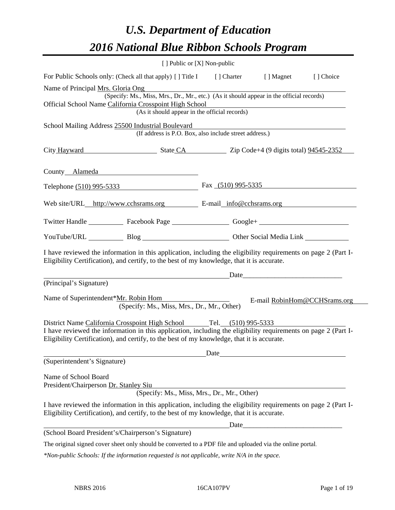# *U.S. Department of Education 2016 National Blue Ribbon Schools Program*

|                                                                                                                                                                                                                                                                                     | [ ] Public or [X] Non-public                                                                                                              |                                                                                                                                                                                                                               |                              |
|-------------------------------------------------------------------------------------------------------------------------------------------------------------------------------------------------------------------------------------------------------------------------------------|-------------------------------------------------------------------------------------------------------------------------------------------|-------------------------------------------------------------------------------------------------------------------------------------------------------------------------------------------------------------------------------|------------------------------|
| For Public Schools only: (Check all that apply) [] Title I [] Charter [] Magnet                                                                                                                                                                                                     |                                                                                                                                           |                                                                                                                                                                                                                               | [] Choice                    |
| Name of Principal Mrs. Gloria Ong<br>Official School Name California Crosspoint High School                                                                                                                                                                                         | (Specify: Ms., Miss, Mrs., Dr., Mr., etc.) (As it should appear in the official records)<br>(As it should appear in the official records) | <u> 1989 - Johann Stein, fransk politik (d. 1989)</u>                                                                                                                                                                         |                              |
| School Mailing Address 25500 Industrial Boulevard                                                                                                                                                                                                                                   | (If address is P.O. Box, also include street address.)                                                                                    |                                                                                                                                                                                                                               |                              |
| City Hayward State CA Zip Code+4 (9 digits total) 94545-2352                                                                                                                                                                                                                        |                                                                                                                                           |                                                                                                                                                                                                                               |                              |
| County Alameda <b>Exercísion</b> County Alameda                                                                                                                                                                                                                                     |                                                                                                                                           |                                                                                                                                                                                                                               |                              |
| Telephone (510) 995-5333 Fax (510) 995-5335                                                                                                                                                                                                                                         |                                                                                                                                           |                                                                                                                                                                                                                               |                              |
| Web site/URL_http://www.cchsrams.org E-mail_info@cchsrams.org                                                                                                                                                                                                                       |                                                                                                                                           |                                                                                                                                                                                                                               |                              |
| Twitter Handle ______________ Facebook Page _____________________ Google+ __________________________                                                                                                                                                                                |                                                                                                                                           |                                                                                                                                                                                                                               |                              |
| YouTube/URL Blog Blog Dumann Other Social Media Link                                                                                                                                                                                                                                |                                                                                                                                           |                                                                                                                                                                                                                               |                              |
| I have reviewed the information in this application, including the eligibility requirements on page 2 (Part I-<br>Eligibility Certification), and certify, to the best of my knowledge, that it is accurate.                                                                        |                                                                                                                                           |                                                                                                                                                                                                                               |                              |
|                                                                                                                                                                                                                                                                                     |                                                                                                                                           | Date and the same state of the state of the state of the state of the state of the state of the state of the state of the state of the state of the state of the state of the state of the state of the state of the state of |                              |
| (Principal's Signature)                                                                                                                                                                                                                                                             |                                                                                                                                           |                                                                                                                                                                                                                               |                              |
| Name of Superintendent*Mr. Robin Hom                                                                                                                                                                                                                                                | (Specify: Ms., Miss, Mrs., Dr., Mr., Other)                                                                                               |                                                                                                                                                                                                                               | E-mail RobinHom@CCHSrams.org |
| District Name California Crosspoint High School Tel. (510) 995-5333<br>I have reviewed the information in this application, including the eligibility requirements on page 2 (Part I-<br>Eligibility Certification), and certify, to the best of my knowledge, that it is accurate. |                                                                                                                                           | Date and the same state of the state of the state of the state of the state of the state of the state of the state of the state of the state of the state of the state of the state of the state of the state of the state of |                              |
| (Superintendent's Signature)                                                                                                                                                                                                                                                        |                                                                                                                                           |                                                                                                                                                                                                                               |                              |
| Name of School Board<br>President/Chairperson Dr. Stanley Siu                                                                                                                                                                                                                       | (Specify: Ms., Miss, Mrs., Dr., Mr., Other)                                                                                               |                                                                                                                                                                                                                               |                              |
| I have reviewed the information in this application, including the eligibility requirements on page 2 (Part I-<br>Eligibility Certification), and certify, to the best of my knowledge, that it is accurate.                                                                        |                                                                                                                                           |                                                                                                                                                                                                                               |                              |
|                                                                                                                                                                                                                                                                                     |                                                                                                                                           |                                                                                                                                                                                                                               |                              |
| (School Board President's/Chairperson's Signature)                                                                                                                                                                                                                                  |                                                                                                                                           |                                                                                                                                                                                                                               |                              |
| The original signed cover sheet only should be converted to a PDF file and uploaded via the online portal.                                                                                                                                                                          |                                                                                                                                           |                                                                                                                                                                                                                               |                              |

*\*Non-public Schools: If the information requested is not applicable, write N/A in the space.*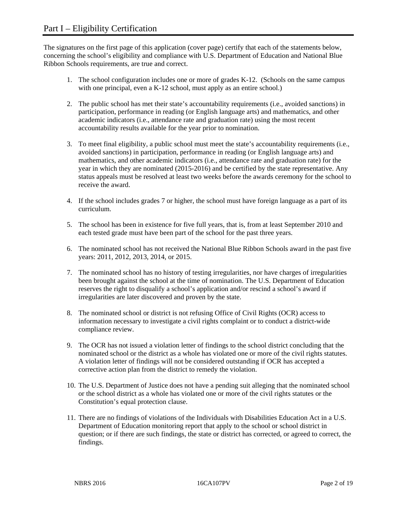The signatures on the first page of this application (cover page) certify that each of the statements below, concerning the school's eligibility and compliance with U.S. Department of Education and National Blue Ribbon Schools requirements, are true and correct.

- 1. The school configuration includes one or more of grades K-12. (Schools on the same campus with one principal, even a K-12 school, must apply as an entire school.)
- 2. The public school has met their state's accountability requirements (i.e., avoided sanctions) in participation, performance in reading (or English language arts) and mathematics, and other academic indicators (i.e., attendance rate and graduation rate) using the most recent accountability results available for the year prior to nomination.
- 3. To meet final eligibility, a public school must meet the state's accountability requirements (i.e., avoided sanctions) in participation, performance in reading (or English language arts) and mathematics, and other academic indicators (i.e., attendance rate and graduation rate) for the year in which they are nominated (2015-2016) and be certified by the state representative. Any status appeals must be resolved at least two weeks before the awards ceremony for the school to receive the award.
- 4. If the school includes grades 7 or higher, the school must have foreign language as a part of its curriculum.
- 5. The school has been in existence for five full years, that is, from at least September 2010 and each tested grade must have been part of the school for the past three years.
- 6. The nominated school has not received the National Blue Ribbon Schools award in the past five years: 2011, 2012, 2013, 2014, or 2015.
- 7. The nominated school has no history of testing irregularities, nor have charges of irregularities been brought against the school at the time of nomination. The U.S. Department of Education reserves the right to disqualify a school's application and/or rescind a school's award if irregularities are later discovered and proven by the state.
- 8. The nominated school or district is not refusing Office of Civil Rights (OCR) access to information necessary to investigate a civil rights complaint or to conduct a district-wide compliance review.
- 9. The OCR has not issued a violation letter of findings to the school district concluding that the nominated school or the district as a whole has violated one or more of the civil rights statutes. A violation letter of findings will not be considered outstanding if OCR has accepted a corrective action plan from the district to remedy the violation.
- 10. The U.S. Department of Justice does not have a pending suit alleging that the nominated school or the school district as a whole has violated one or more of the civil rights statutes or the Constitution's equal protection clause.
- 11. There are no findings of violations of the Individuals with Disabilities Education Act in a U.S. Department of Education monitoring report that apply to the school or school district in question; or if there are such findings, the state or district has corrected, or agreed to correct, the findings.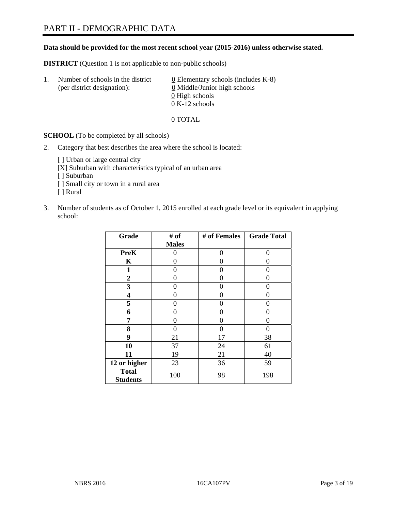#### **Data should be provided for the most recent school year (2015-2016) unless otherwise stated.**

**DISTRICT** (Question 1 is not applicable to non-public schools)

| Τ. | Number of schools in the district<br>(per district designation): | 0 Elementary schools (includes $K-8$ )<br>0 Middle/Junior high schools |
|----|------------------------------------------------------------------|------------------------------------------------------------------------|
|    |                                                                  | 0 High schools<br>$0 K-12$ schools                                     |

0 TOTAL

**SCHOOL** (To be completed by all schools)

2. Category that best describes the area where the school is located:

[] Urban or large central city

- [X] Suburban with characteristics typical of an urban area
- [ ] Suburban
- [ ] Small city or town in a rural area
- [ ] Rural
- 3. Number of students as of October 1, 2015 enrolled at each grade level or its equivalent in applying school:

| Grade                           | # of             | # of Females | <b>Grade Total</b> |
|---------------------------------|------------------|--------------|--------------------|
|                                 | <b>Males</b>     |              |                    |
| <b>PreK</b>                     | 0                | 0            | 0                  |
| $\mathbf K$                     | 0                | 0            | $\mathbf{\Omega}$  |
| 1                               | 0                | 0            | 0                  |
| $\overline{2}$                  | 0                | 0            | 0                  |
| 3                               | 0                | $\Omega$     | 0                  |
| $\overline{\mathbf{4}}$         | 0                | 0            | 0                  |
| 5                               | 0                | 0            | 0                  |
| 6                               | 0                | $\theta$     | 0                  |
| 7                               | 0                | 0            | 0                  |
| 8                               | $\boldsymbol{0}$ | 0            | 0                  |
| 9                               | 21               | 17           | 38                 |
| 10                              | 37               | 24           | 61                 |
| 11                              | 19               | 21           | 40                 |
| 12 or higher                    | 23               | 36           | 59                 |
| <b>Total</b><br><b>Students</b> | 100              | 98           | 198                |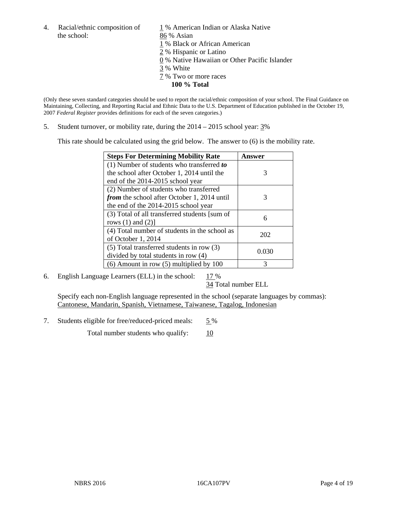- the school: 86 % Asian
- 4. Racial/ethnic composition of  $1\%$  American Indian or Alaska Native
	-
	- 1 % Black or African American
	- 2 % Hispanic or Latino
	- 0 % Native Hawaiian or Other Pacific Islander
	- 3 % White
	- 7 % Two or more races
		- **100 % Total**

(Only these seven standard categories should be used to report the racial/ethnic composition of your school. The Final Guidance on Maintaining, Collecting, and Reporting Racial and Ethnic Data to the U.S. Department of Education published in the October 19, 2007 *Federal Register* provides definitions for each of the seven categories.)

5. Student turnover, or mobility rate, during the 2014 – 2015 school year: 3%

This rate should be calculated using the grid below. The answer to (6) is the mobility rate.

| <b>Steps For Determining Mobility Rate</b>    | Answer |
|-----------------------------------------------|--------|
| $(1)$ Number of students who transferred to   |        |
| the school after October 1, 2014 until the    | 3      |
| end of the 2014-2015 school year              |        |
| (2) Number of students who transferred        |        |
| from the school after October 1, 2014 until   | 3      |
| the end of the 2014-2015 school year          |        |
| (3) Total of all transferred students [sum of | 6      |
| rows $(1)$ and $(2)$ ]                        |        |
| (4) Total number of students in the school as | 202    |
| of October 1, 2014                            |        |
| (5) Total transferred students in row (3)     | 0.030  |
| divided by total students in row (4)          |        |
| $(6)$ Amount in row $(5)$ multiplied by 100   | 3      |

6. English Language Learners (ELL) in the school:  $17\%$ 

34 Total number ELL

 Specify each non-English language represented in the school (separate languages by commas): Cantonese, Mandarin, Spanish, Vietnamese, Taiwanese, Tagalog, Indonesian

7. Students eligible for free/reduced-priced meals: 5 %

Total number students who qualify:  $\frac{10}{2}$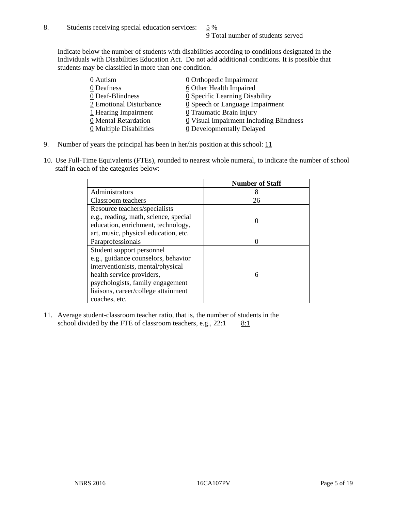Indicate below the number of students with disabilities according to conditions designated in the Individuals with Disabilities Education Act. Do not add additional conditions. It is possible that students may be classified in more than one condition.

| 0 Autism                | 0 Orthopedic Impairment                 |
|-------------------------|-----------------------------------------|
| 0 Deafness              | 6 Other Health Impaired                 |
| 0 Deaf-Blindness        | 0 Specific Learning Disability          |
| 2 Emotional Disturbance | 0 Speech or Language Impairment         |
| 1 Hearing Impairment    | $\underline{0}$ Traumatic Brain Injury  |
| 0 Mental Retardation    | 0 Visual Impairment Including Blindness |
| 0 Multiple Disabilities | <b>0</b> Developmentally Delayed        |

- 9. Number of years the principal has been in her/his position at this school:  $11$
- 10. Use Full-Time Equivalents (FTEs), rounded to nearest whole numeral, to indicate the number of school staff in each of the categories below:

|                                       | <b>Number of Staff</b> |
|---------------------------------------|------------------------|
| Administrators                        | 8                      |
| Classroom teachers                    | 26                     |
| Resource teachers/specialists         |                        |
| e.g., reading, math, science, special |                        |
| education, enrichment, technology,    |                        |
| art, music, physical education, etc.  |                        |
| Paraprofessionals                     |                        |
| Student support personnel             |                        |
| e.g., guidance counselors, behavior   |                        |
| interventionists, mental/physical     |                        |
| health service providers,             | 6                      |
| psychologists, family engagement      |                        |
| liaisons, career/college attainment   |                        |
| coaches, etc.                         |                        |

11. Average student-classroom teacher ratio, that is, the number of students in the school divided by the FTE of classroom teachers, e.g.,  $22:1$  8:1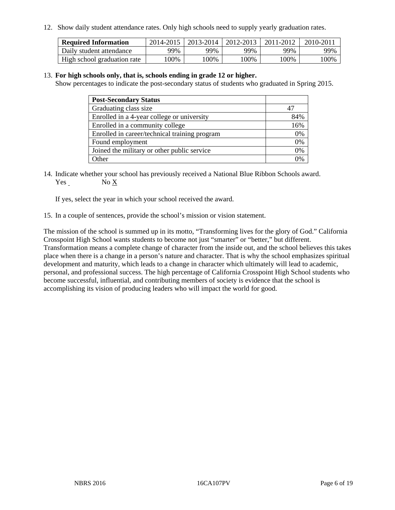12. Show daily student attendance rates. Only high schools need to supply yearly graduation rates.

| <b>Required Information</b> | 2014-2015 | $2013 - 2014$ | $\mid$ 2012-2013 | 2011-2012 | 2010-2011 |
|-----------------------------|-----------|---------------|------------------|-----------|-----------|
| Daily student attendance    | 99%       | 99%           | 99%              | 99%       | 99%       |
| High school graduation rate | 00%       | 00%           | .00%             | $00\%$    | $100\%$   |

#### 13. **For high schools only, that is, schools ending in grade 12 or higher.**

Show percentages to indicate the post-secondary status of students who graduated in Spring 2015.

| <b>Post-Secondary Status</b>                  |     |
|-----------------------------------------------|-----|
| Graduating class size                         |     |
| Enrolled in a 4-year college or university    | 84% |
| Enrolled in a community college               | 16% |
| Enrolled in career/technical training program | 0%  |
| Found employment                              | 0%  |
| Joined the military or other public service   | 0%  |
| Other                                         | 0/2 |

14. Indicate whether your school has previously received a National Blue Ribbon Schools award. Yes No X

If yes, select the year in which your school received the award.

15. In a couple of sentences, provide the school's mission or vision statement.

The mission of the school is summed up in its motto, "Transforming lives for the glory of God." California Crosspoint High School wants students to become not just "smarter" or "better," but different. Transformation means a complete change of character from the inside out, and the school believes this takes place when there is a change in a person's nature and character. That is why the school emphasizes spiritual development and maturity, which leads to a change in character which ultimately will lead to academic, personal, and professional success. The high percentage of California Crosspoint High School students who become successful, influential, and contributing members of society is evidence that the school is accomplishing its vision of producing leaders who will impact the world for good.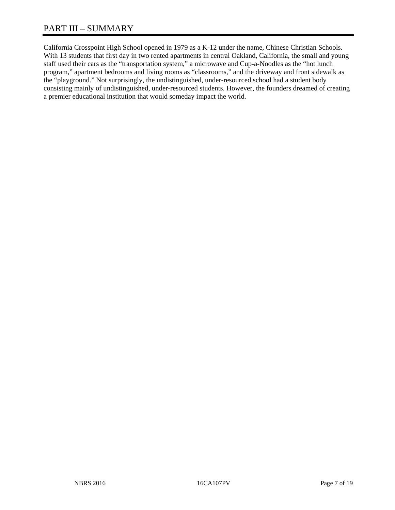California Crosspoint High School opened in 1979 as a K-12 under the name, Chinese Christian Schools. With 13 students that first day in two rented apartments in central Oakland, California, the small and young staff used their cars as the "transportation system," a microwave and Cup-a-Noodles as the "hot lunch program," apartment bedrooms and living rooms as "classrooms," and the driveway and front sidewalk as the "playground." Not surprisingly, the undistinguished, under-resourced school had a student body consisting mainly of undistinguished, under-resourced students. However, the founders dreamed of creating a premier educational institution that would someday impact the world.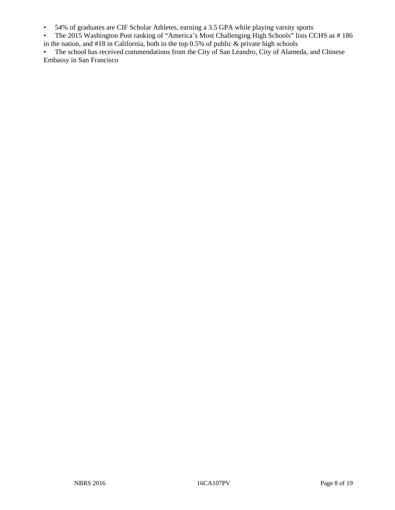- 54% of graduates are CIF Scholar Athletes, earning a 3.5 GPA while playing varsity sports
- The 2015 Washington Post ranking of "America's Most Challenging High Schools" lists CCHS as # 186 in the nation, and  $#18$  in California, both in the top 0.5% of public  $\&$  private high schools

• The school has received commendations from the City of San Leandro, City of Alameda, and Chinese Embassy in San Francisco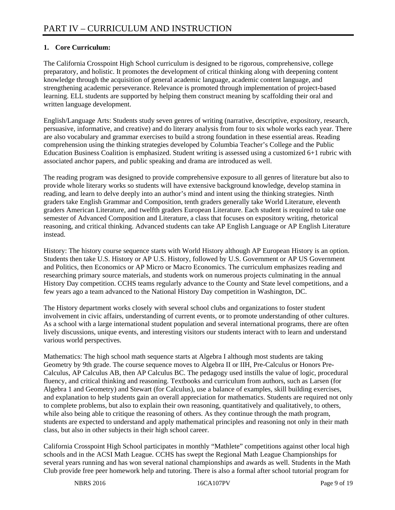# **1. Core Curriculum:**

The California Crosspoint High School curriculum is designed to be rigorous, comprehensive, college preparatory, and holistic. It promotes the development of critical thinking along with deepening content knowledge through the acquisition of general academic language, academic content language, and strengthening academic perseverance. Relevance is promoted through implementation of project-based learning. ELL students are supported by helping them construct meaning by scaffolding their oral and written language development.

English/Language Arts: Students study seven genres of writing (narrative, descriptive, expository, research, persuasive, informative, and creative) and do literary analysis from four to six whole works each year. There are also vocabulary and grammar exercises to build a strong foundation in these essential areas. Reading comprehension using the thinking strategies developed by Columbia Teacher's College and the Public Education Business Coalition is emphasized. Student writing is assessed using a customized 6+1 rubric with associated anchor papers, and public speaking and drama are introduced as well.

The reading program was designed to provide comprehensive exposure to all genres of literature but also to provide whole literary works so students will have extensive background knowledge, develop stamina in reading, and learn to delve deeply into an author's mind and intent using the thinking strategies. Ninth graders take English Grammar and Composition, tenth graders generally take World Literature, eleventh graders American Literature, and twelfth graders European Literature. Each student is required to take one semester of Advanced Composition and Literature, a class that focuses on expository writing, rhetorical reasoning, and critical thinking. Advanced students can take AP English Language or AP English Literature instead.

History: The history course sequence starts with World History although AP European History is an option. Students then take U.S. History or AP U.S. History, followed by U.S. Government or AP US Government and Politics, then Economics or AP Micro or Macro Economics. The curriculum emphasizes reading and researching primary source materials, and students work on numerous projects culminating in the annual History Day competition. CCHS teams regularly advance to the County and State level competitions, and a few years ago a team advanced to the National History Day competition in Washington, DC.

The History department works closely with several school clubs and organizations to foster student involvement in civic affairs, understanding of current events, or to promote understanding of other cultures. As a school with a large international student population and several international programs, there are often lively discussions, unique events, and interesting visitors our students interact with to learn and understand various world perspectives.

Mathematics: The high school math sequence starts at Algebra I although most students are taking Geometry by 9th grade. The course sequence moves to Algebra II or IIH, Pre-Calculus or Honors Pre-Calculus, AP Calculus AB, then AP Calculus BC. The pedagogy used instills the value of logic, procedural fluency, and critical thinking and reasoning. Textbooks and curriculum from authors, such as Larsen (for Algebra 1 and Geometry) and Stewart (for Calculus), use a balance of examples, skill building exercises, and explanation to help students gain an overall appreciation for mathematics. Students are required not only to complete problems, but also to explain their own reasoning, quantitatively and qualitatively, to others, while also being able to critique the reasoning of others. As they continue through the math program, students are expected to understand and apply mathematical principles and reasoning not only in their math class, but also in other subjects in their high school career.

California Crosspoint High School participates in monthly "Mathlete" competitions against other local high schools and in the ACSI Math League. CCHS has swept the Regional Math League Championships for several years running and has won several national championships and awards as well. Students in the Math Club provide free peer homework help and tutoring. There is also a formal after school tutorial program for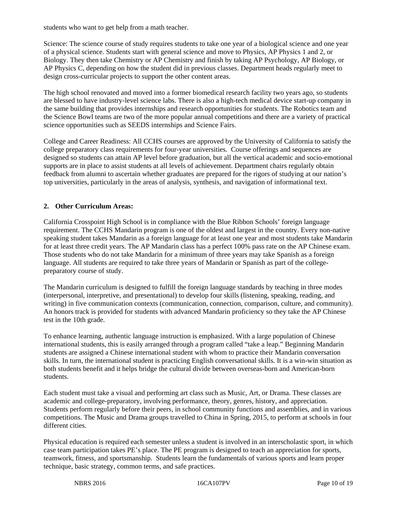students who want to get help from a math teacher.

Science: The science course of study requires students to take one year of a biological science and one year of a physical science. Students start with general science and move to Physics, AP Physics 1 and 2, or Biology. They then take Chemistry or AP Chemistry and finish by taking AP Psychology, AP Biology, or AP Physics C, depending on how the student did in previous classes. Department heads regularly meet to design cross-curricular projects to support the other content areas.

The high school renovated and moved into a former biomedical research facility two years ago, so students are blessed to have industry-level science labs. There is also a high-tech medical device start-up company in the same building that provides internships and research opportunities for students. The Robotics team and the Science Bowl teams are two of the more popular annual competitions and there are a variety of practical science opportunities such as SEEDS internships and Science Fairs.

College and Career Readiness: All CCHS courses are approved by the University of California to satisfy the college preparatory class requirements for four-year universities. Course offerings and sequences are designed so students can attain AP level before graduation, but all the vertical academic and socio-emotional supports are in place to assist students at all levels of achievement. Department chairs regularly obtain feedback from alumni to ascertain whether graduates are prepared for the rigors of studying at our nation's top universities, particularly in the areas of analysis, synthesis, and navigation of informational text.

# **2. Other Curriculum Areas:**

California Crosspoint High School is in compliance with the Blue Ribbon Schools' foreign language requirement. The CCHS Mandarin program is one of the oldest and largest in the country. Every non-native speaking student takes Mandarin as a foreign language for at least one year and most students take Mandarin for at least three credit years. The AP Mandarin class has a perfect 100% pass rate on the AP Chinese exam. Those students who do not take Mandarin for a minimum of three years may take Spanish as a foreign language. All students are required to take three years of Mandarin or Spanish as part of the collegepreparatory course of study.

The Mandarin curriculum is designed to fulfill the foreign language standards by teaching in three modes (interpersonal, interpretive, and presentational) to develop four skills (listening, speaking, reading, and writing) in five communication contexts (communication, connection, comparison, culture, and community). An honors track is provided for students with advanced Mandarin proficiency so they take the AP Chinese test in the 10th grade.

To enhance learning, authentic language instruction is emphasized. With a large population of Chinese international students, this is easily arranged through a program called "take a leap." Beginning Mandarin students are assigned a Chinese international student with whom to practice their Mandarin conversation skills. In turn, the international student is practicing English conversational skills. It is a win-win situation as both students benefit and it helps bridge the cultural divide between overseas-born and American-born students.

Each student must take a visual and performing art class such as Music, Art, or Drama. These classes are academic and college-preparatory, involving performance, theory, genres, history, and appreciation. Students perform regularly before their peers, in school community functions and assemblies, and in various competitions. The Music and Drama groups travelled to China in Spring, 2015, to perform at schools in four different cities.

Physical education is required each semester unless a student is involved in an interscholastic sport, in which case team participation takes PE's place. The PE program is designed to teach an appreciation for sports, teamwork, fitness, and sportsmanship. Students learn the fundamentals of various sports and learn proper technique, basic strategy, common terms, and safe practices.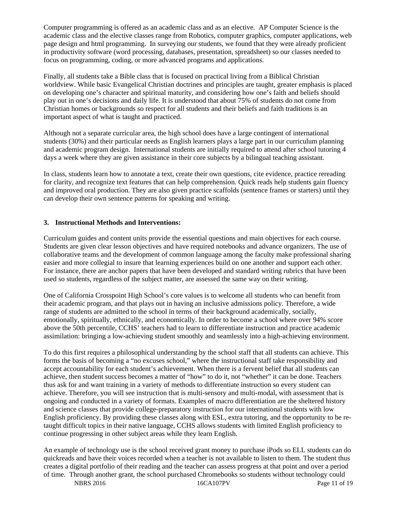Computer programming is offered as an academic class and as an elective. AP Computer Science is the academic class and the elective classes range from Robotics, computer graphics, computer applications, web page design and html programming. In surveying our students, we found that they were already proficient in productivity software (word processing, databases, presentation, spreadsheet) so our classes needed to focus on programming, coding, or more advanced programs and applications.

Finally, all students take a Bible class that is focused on practical living from a Biblical Christian worldview. While basic Evangelical Christian doctrines and principles are taught, greater emphasis is placed on developing one's character and spiritual maturity, and considering how one's faith and beliefs should play out in one's decisions and daily life. It is understood that about 75% of students do not come from Christian homes or backgrounds so respect for all students and their beliefs and faith traditions is an important aspect of what is taught and practiced.

Although not a separate curricular area, the high school does have a large contingent of international students (30%) and their particular needs as English learners plays a large part in our curriculum planning and academic program design. International students are initially required to attend after school tutoring 4 days a week where they are given assistance in their core subjects by a bilingual teaching assistant.

In class, students learn how to annotate a text, create their own questions, cite evidence, practice rereading for clarity, and recognize text features that can help comprehension. Quick reads help students gain fluency and improved oral production. They are also given practice scaffolds (sentence frames or starters) until they can develop their own sentence patterns for speaking and writing.

#### **3. Instructional Methods and Interventions:**

Curriculum guides and content units provide the essential questions and main objectives for each course. Students are given clear lesson objectives and have required notebooks and advance organizers. The use of collaborative teams and the development of common language among the faculty make professional sharing easier and more collegial to insure that learning experiences build on one another and support each other. For instance, there are anchor papers that have been developed and standard writing rubrics that have been used so students, regardless of the subject matter, are assessed the same way on their writing.

One of California Crosspoint High School's core values is to welcome all students who can benefit from their academic program, and that plays out in having an inclusive admissions policy. Therefore, a wide range of students are admitted to the school in terms of their background academically, socially, emotionally, spiritually, ethnically, and economically. In order to become a school where over 94% score above the 50th percentile, CCHS' teachers had to learn to differentiate instruction and practice academic assimilation: bringing a low-achieving student smoothly and seamlessly into a high-achieving environment.

To do this first requires a philosophical understanding by the school staff that all students can achieve. This forms the basis of becoming a "no excuses school," where the instructional staff take responsibility and accept accountability for each student's achievement. When there is a fervent belief that all students can achieve, then student success becomes a matter of "how" to do it, not "whether" it can be done. Teachers thus ask for and want training in a variety of methods to differentiate instruction so every student can achieve. Therefore, you will see instruction that is multi-sensory and multi-modal, with assessment that is ongoing and conducted in a variety of formats. Examples of macro differentiation are the sheltered history and science classes that provide college-preparatory instruction for our international students with low English proficiency. By providing these classes along with ESL, extra tutoring, and the opportunity to be retaught difficult topics in their native language, CCHS allows students with limited English proficiency to continue progressing in other subject areas while they learn English.

An example of technology use is the school received grant money to purchase iPods so ELL students can do quickreads and have their voices recorded when a teacher is not available to listen to them. The student thus creates a digital portfolio of their reading and the teacher can assess progress at that point and over a period of time. Through another grant, the school purchased Chromebooks so students without technology could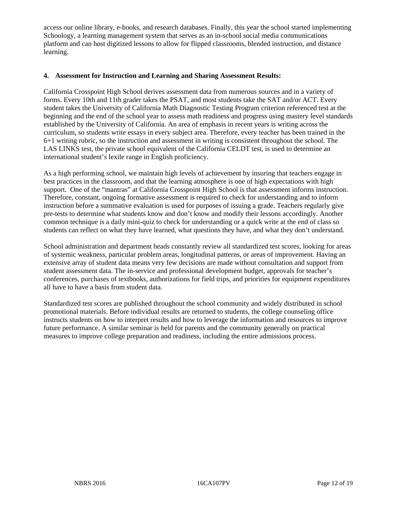access our online library, e-books, and research databases. Finally, this year the school started implementing Schoology, a learning management system that serves as an in-school social media communications platform and can host digitized lessons to allow for flipped classrooms, blended instruction, and distance learning.

#### **4. Assessment for Instruction and Learning and Sharing Assessment Results:**

California Crosspoint High School derives assessment data from numerous sources and in a variety of forms. Every 10th and 11th grader takes the PSAT, and most students take the SAT and/or ACT. Every student takes the University of California Math Diagnostic Testing Program criterion referenced test at the beginning and the end of the school year to assess math readiness and progress using mastery level standards established by the University of California. An area of emphasis in recent years is writing across the curriculum, so students write essays in every subject area. Therefore, every teacher has been trained in the 6+1 writing rubric, so the instruction and assessment in writing is consistent throughout the school. The LAS LINKS test, the private school equivalent of the California CELDT test, is used to determine an international student's lexile range in English proficiency.

As a high performing school, we maintain high levels of achievement by insuring that teachers engage in best practices in the classroom, and that the learning atmosphere is one of high expectations with high support. One of the "mantras" at California Crosspoint High School is that assessment informs instruction. Therefore, constant, ongoing formative assessment is required to check for understanding and to inform instruction before a summative evaluation is used for purposes of issuing a grade. Teachers regularly give pre-tests to determine what students know and don't know and modify their lessons accordingly. Another common technique is a daily mini-quiz to check for understanding or a quick write at the end of class so students can reflect on what they have learned, what questions they have, and what they don't understand.

School administration and department heads constantly review all standardized test scores, looking for areas of systemic weakness, particular problem areas, longitudinal patterns, or areas of improvement. Having an extensive array of student data means very few decisions are made without consultation and support from student assessment data. The in-service and professional development budget, approvals for teacher's conferences, purchases of textbooks, authorizations for field trips, and priorities for equipment expenditures all have to have a basis from student data.

Standardized test scores are published throughout the school community and widely distributed in school promotional materials. Before individual results are returned to students, the college counseling office instructs students on how to interpret results and how to leverage the information and resources to improve future performance. A similar seminar is held for parents and the community generally on practical measures to improve college preparation and readiness, including the entire admissions process.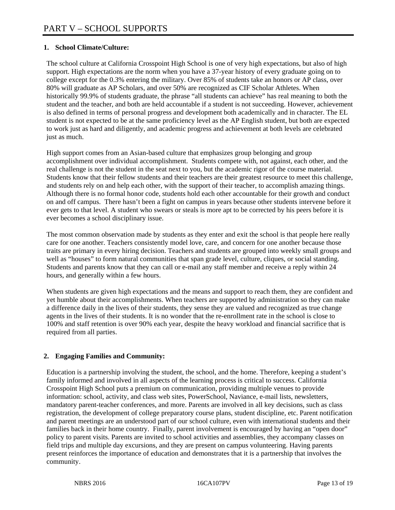# **1. School Climate/Culture:**

The school culture at California Crosspoint High School is one of very high expectations, but also of high support. High expectations are the norm when you have a 37-year history of every graduate going on to college except for the 0.3% entering the military. Over 85% of students take an honors or AP class, over 80% will graduate as AP Scholars, and over 50% are recognized as CIF Scholar Athletes. When historically 99.9% of students graduate, the phrase "all students can achieve" has real meaning to both the student and the teacher, and both are held accountable if a student is not succeeding. However, achievement is also defined in terms of personal progress and development both academically and in character. The EL student is not expected to be at the same proficiency level as the AP English student, but both are expected to work just as hard and diligently, and academic progress and achievement at both levels are celebrated just as much.

High support comes from an Asian-based culture that emphasizes group belonging and group accomplishment over individual accomplishment. Students compete with, not against, each other, and the real challenge is not the student in the seat next to you, but the academic rigor of the course material. Students know that their fellow students and their teachers are their greatest resource to meet this challenge, and students rely on and help each other, with the support of their teacher, to accomplish amazing things. Although there is no formal honor code, students hold each other accountable for their growth and conduct on and off campus. There hasn't been a fight on campus in years because other students intervene before it ever gets to that level. A student who swears or steals is more apt to be corrected by his peers before it is ever becomes a school disciplinary issue.

The most common observation made by students as they enter and exit the school is that people here really care for one another. Teachers consistently model love, care, and concern for one another because those traits are primary in every hiring decision. Teachers and students are grouped into weekly small groups and well as "houses" to form natural communities that span grade level, culture, cliques, or social standing. Students and parents know that they can call or e-mail any staff member and receive a reply within 24 hours, and generally within a few hours.

When students are given high expectations and the means and support to reach them, they are confident and yet humble about their accomplishments. When teachers are supported by administration so they can make a difference daily in the lives of their students, they sense they are valued and recognized as true change agents in the lives of their students. It is no wonder that the re-enrollment rate in the school is close to 100% and staff retention is over 90% each year, despite the heavy workload and financial sacrifice that is required from all parties.

# **2. Engaging Families and Community:**

Education is a partnership involving the student, the school, and the home. Therefore, keeping a student's family informed and involved in all aspects of the learning process is critical to success. California Crosspoint High School puts a premium on communication, providing multiple venues to provide information: school, activity, and class web sites, PowerSchool, Naviance, e-mail lists, newsletters, mandatory parent-teacher conferences, and more. Parents are involved in all key decisions, such as class registration, the development of college preparatory course plans, student discipline, etc. Parent notification and parent meetings are an understood part of our school culture, even with international students and their families back in their home country. Finally, parent involvement is encouraged by having an "open door" policy to parent visits. Parents are invited to school activities and assemblies, they accompany classes on field trips and multiple day excursions, and they are present on campus volunteering. Having parents present reinforces the importance of education and demonstrates that it is a partnership that involves the community.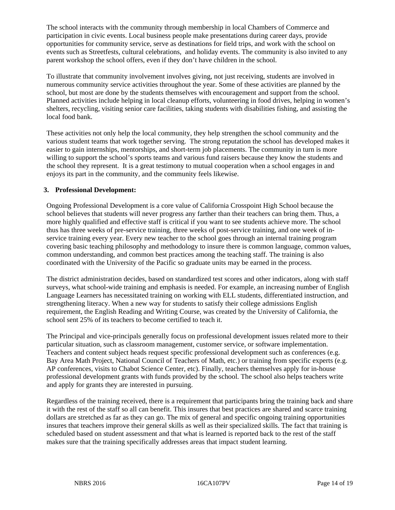The school interacts with the community through membership in local Chambers of Commerce and participation in civic events. Local business people make presentations during career days, provide opportunities for community service, serve as destinations for field trips, and work with the school on events such as Streetfests, cultural celebrations, and holiday events. The community is also invited to any parent workshop the school offers, even if they don't have children in the school.

To illustrate that community involvement involves giving, not just receiving, students are involved in numerous community service activities throughout the year. Some of these activities are planned by the school, but most are done by the students themselves with encouragement and support from the school. Planned activities include helping in local cleanup efforts, volunteering in food drives, helping in women's shelters, recycling, visiting senior care facilities, taking students with disabilities fishing, and assisting the local food bank.

These activities not only help the local community, they help strengthen the school community and the various student teams that work together serving. The strong reputation the school has developed makes it easier to gain internships, mentorships, and short-term job placements. The community in turn is more willing to support the school's sports teams and various fund raisers because they know the students and the school they represent. It is a great testimony to mutual cooperation when a school engages in and enjoys its part in the community, and the community feels likewise.

## **3. Professional Development:**

Ongoing Professional Development is a core value of California Crosspoint High School because the school believes that students will never progress any farther than their teachers can bring them. Thus, a more highly qualified and effective staff is critical if you want to see students achieve more. The school thus has three weeks of pre-service training, three weeks of post-service training, and one week of inservice training every year. Every new teacher to the school goes through an internal training program covering basic teaching philosophy and methodology to insure there is common language, common values, common understanding, and common best practices among the teaching staff. The training is also coordinated with the University of the Pacific so graduate units may be earned in the process.

The district administration decides, based on standardized test scores and other indicators, along with staff surveys, what school-wide training and emphasis is needed. For example, an increasing number of English Language Learners has necessitated training on working with ELL students, differentiated instruction, and strengthening literacy. When a new way for students to satisfy their college admissions English requirement, the English Reading and Writing Course, was created by the University of California, the school sent 25% of its teachers to become certified to teach it.

The Principal and vice-principals generally focus on professional development issues related more to their particular situation, such as classroom management, customer service, or software implementation. Teachers and content subject heads request specific professional development such as conferences (e.g. Bay Area Math Project, National Council of Teachers of Math, etc.) or training from specific experts (e.g. AP conferences, visits to Chabot Science Center, etc). Finally, teachers themselves apply for in-house professional development grants with funds provided by the school. The school also helps teachers write and apply for grants they are interested in pursuing.

Regardless of the training received, there is a requirement that participants bring the training back and share it with the rest of the staff so all can benefit. This insures that best practices are shared and scarce training dollars are stretched as far as they can go. The mix of general and specific ongoing training opportunities insures that teachers improve their general skills as well as their specialized skills. The fact that training is scheduled based on student assessment and that what is learned is reported back to the rest of the staff makes sure that the training specifically addresses areas that impact student learning.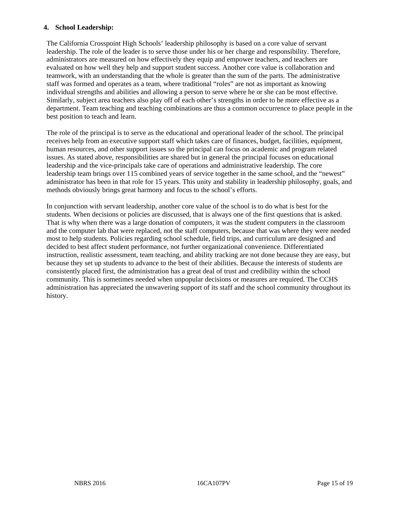#### **4. School Leadership:**

The California Crosspoint High Schools' leadership philosophy is based on a core value of servant leadership. The role of the leader is to serve those under his or her charge and responsibility. Therefore, administrators are measured on how effectively they equip and empower teachers, and teachers are evaluated on how well they help and support student success. Another core value is collaboration and teamwork, with an understanding that the whole is greater than the sum of the parts. The administrative staff was formed and operates as a team, where traditional "roles" are not as important as knowing individual strengths and abilities and allowing a person to serve where he or she can be most effective. Similarly, subject area teachers also play off of each other's strengths in order to be more effective as a department. Team teaching and teaching combinations are thus a common occurrence to place people in the best position to teach and learn.

The role of the principal is to serve as the educational and operational leader of the school. The principal receives help from an executive support staff which takes care of finances, budget, facilities, equipment, human resources, and other support issues so the principal can focus on academic and program related issues. As stated above, responsibilities are shared but in general the principal focuses on educational leadership and the vice-principals take care of operations and administrative leadership. The core leadership team brings over 115 combined years of service together in the same school, and the "newest" administrator has been in that role for 15 years. This unity and stability in leadership philosophy, goals, and methods obviously brings great harmony and focus to the school's efforts.

In conjunction with servant leadership, another core value of the school is to do what is best for the students. When decisions or policies are discussed, that is always one of the first questions that is asked. That is why when there was a large donation of computers, it was the student computers in the classroom and the computer lab that were replaced, not the staff computers, because that was where they were needed most to help students. Policies regarding school schedule, field trips, and curriculum are designed and decided to best affect student performance, not further organizational convenience. Differentiated instruction, realistic assessment, team teaching, and ability tracking are not done because they are easy, but because they set up students to advance to the best of their abilities. Because the interests of students are consistently placed first, the administration has a great deal of trust and credibility within the school community. This is sometimes needed when unpopular decisions or measures are required. The CCHS administration has appreciated the unwavering support of its staff and the school community throughout its history.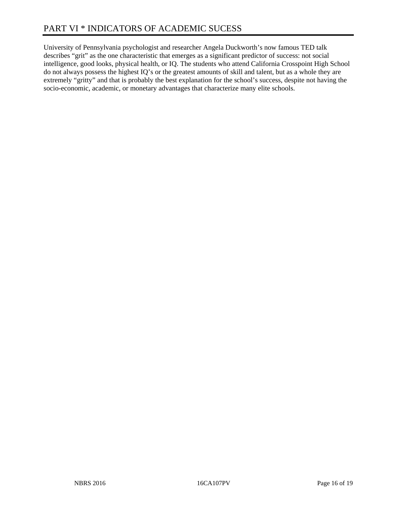University of Pennsylvania psychologist and researcher Angela Duckworth's now famous TED talk describes "grit" as the one characteristic that emerges as a significant predictor of success: not social intelligence, good looks, physical health, or IQ. The students who attend California Crosspoint High School do not always possess the highest IQ's or the greatest amounts of skill and talent, but as a whole they are extremely "gritty" and that is probably the best explanation for the school's success, despite not having the socio-economic, academic, or monetary advantages that characterize many elite schools.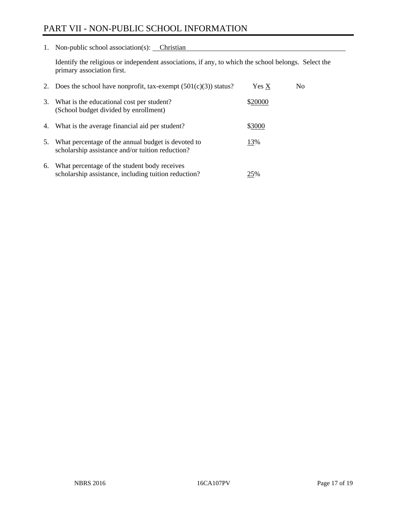# PART VII - NON-PUBLIC SCHOOL INFORMATION

1. Non-public school association(s): Christian

Identify the religious or independent associations, if any, to which the school belongs. Select the primary association first.

| 2. | Does the school have nonprofit, tax-exempt $(501(c)(3))$ status?                                       | Yes X   | No. |
|----|--------------------------------------------------------------------------------------------------------|---------|-----|
| 3. | What is the educational cost per student?<br>(School budget divided by enrollment)                     | \$20000 |     |
|    | 4. What is the average financial aid per student?                                                      | \$3000  |     |
| 5. | What percentage of the annual budget is devoted to<br>scholarship assistance and/or tuition reduction? | 13%     |     |
| 6. | What percentage of the student body receives<br>scholarship assistance, including tuition reduction?   | 25%     |     |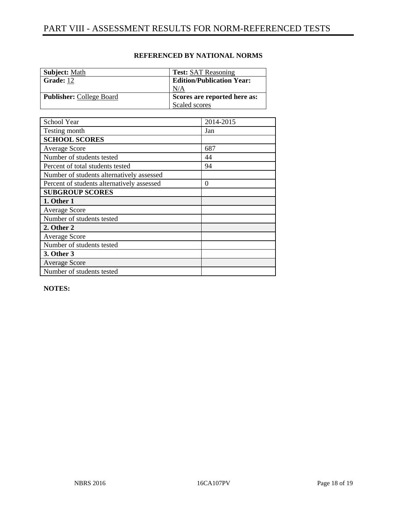| <b>Subject:</b> Math            | <b>Test: SAT Reasoning</b>       |
|---------------------------------|----------------------------------|
|                                 |                                  |
| Grade: 12                       | <b>Edition/Publication Year:</b> |
|                                 | N/A                              |
| <b>Publisher:</b> College Board | Scores are reported here as:     |
|                                 | Scaled scores                    |

## **REFERENCED BY NATIONAL NORMS**

| School Year                                | 2014-2015        |
|--------------------------------------------|------------------|
| Testing month                              | Jan              |
| <b>SCHOOL SCORES</b>                       |                  |
| <b>Average Score</b>                       | 687              |
| Number of students tested                  | 44               |
| Percent of total students tested           | 94               |
| Number of students alternatively assessed  |                  |
| Percent of students alternatively assessed | $\boldsymbol{0}$ |
| <b>SUBGROUP SCORES</b>                     |                  |
| 1. Other 1                                 |                  |
| <b>Average Score</b>                       |                  |
| Number of students tested                  |                  |
| 2. Other 2                                 |                  |
| <b>Average Score</b>                       |                  |
| Number of students tested                  |                  |
| <b>3. Other 3</b>                          |                  |
| <b>Average Score</b>                       |                  |
| Number of students tested                  |                  |

**NOTES:**